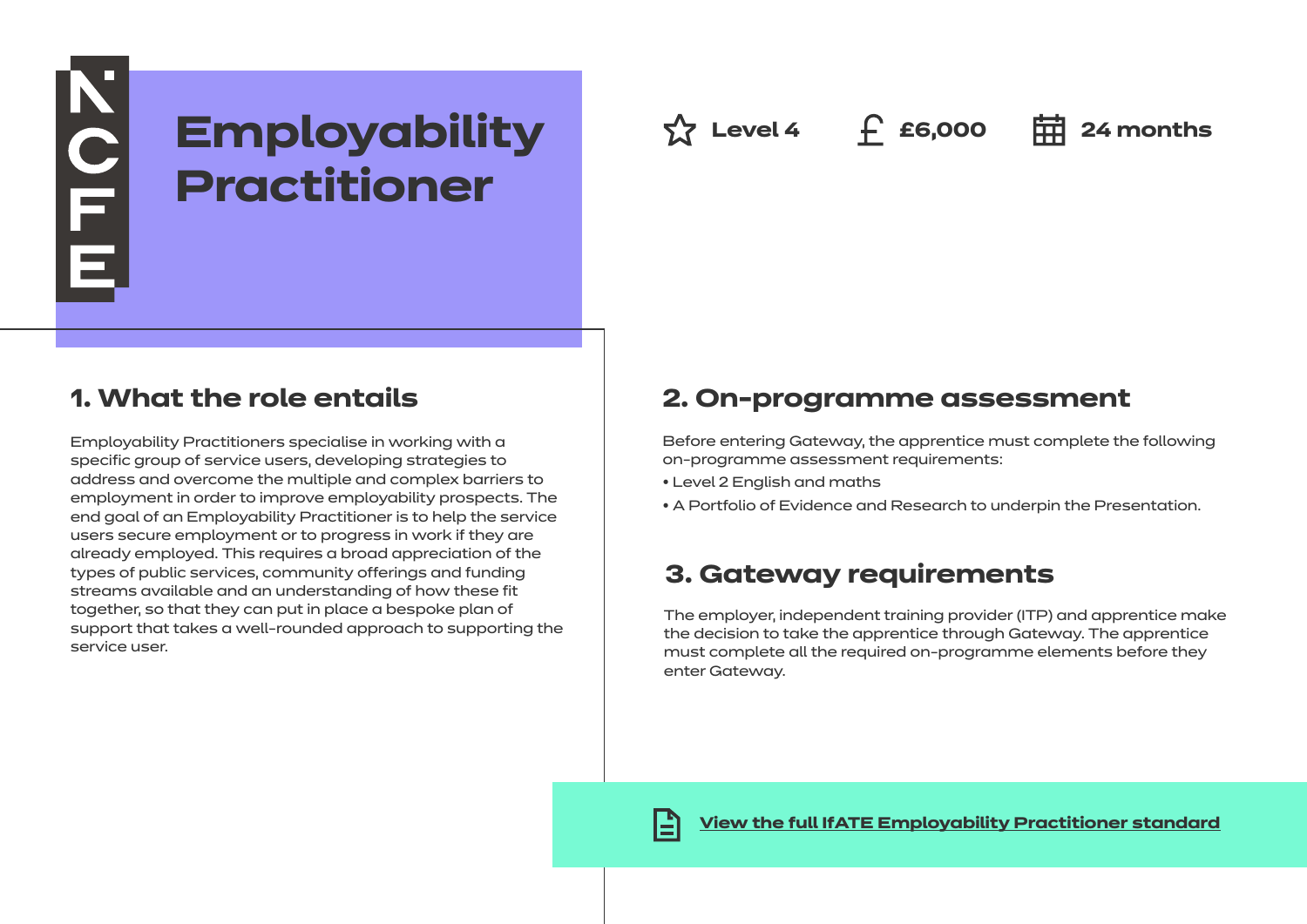# **Employability Practitioner**

 $\hat{X}$  Level 4 **f** £6,000 **= = 24 months** 

### **1. What the role entails**

NOFE

Employability Practitioners specialise in working with a specific group of service users, developing strategies to address and overcome the multiple and complex barriers to employment in order to improve employability prospects. The end goal of an Employability Practitioner is to help the service users secure employment or to progress in work if they are already employed. This requires a broad appreciation of the types of public services, community offerings and funding streams available and an understanding of how these fit together, so that they can put in place a bespoke plan of support that takes a well-rounded approach to supporting the service user.

### **2. On-programme assessment**

Before entering Gateway, the apprentice must complete the following on-programme assessment requirements:

- Level 2 English and maths
- A Portfolio of Evidence and Research to underpin the Presentation.

## **3. Gateway requirements**

The employer, independent training provider (ITP) and apprentice make the decision to take the apprentice through Gateway. The apprentice must complete all the required on-programme elements before they enter Gateway.